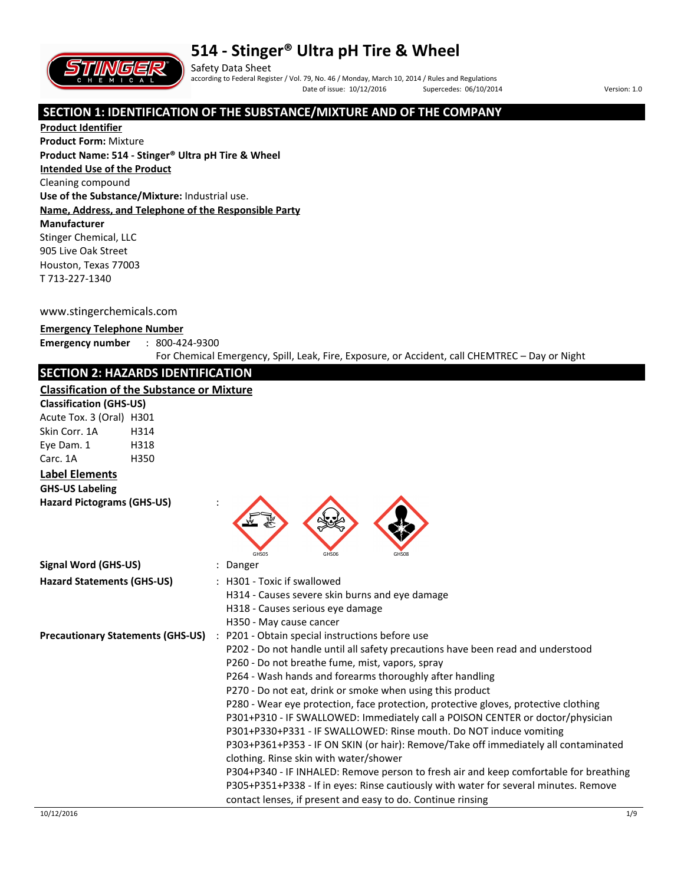



Safety Data Sheet according to Federal Register / Vol. 79, No. 46 / Monday, March 10, 2014 / Rules and Regulations Date of issue: 10/12/2016 Supercedes: 06/10/2014 Version: 1.0

### **SECTION 1: IDENTIFICATION OF THE SUBSTANCE/MIXTURE AND OF THE COMPANY**

**Product Identifier Product Form:** Mixture **Product Name: 514 - Stinger® Ultra pH Tire & Wheel Intended Use of the Product** Cleaning compound **Use of the Substance/Mixture:** Industrial use. **Name, Address, and Telephone of the Responsible Party Manufacturer**  Stinger Chemical, LLC 905 Live Oak Street Houston, Texas 77003 T 713-227-1340

www.stingerchemicals.com

#### **Emergency Telephone Number**

**Emergency number** : 800-424-9300

For Chemical Emergency, Spill, Leak, Fire, Exposure, or Accident, call CHEMTREC – Day or Night

### **SECTION 2: HAZARDS IDENTIFICATION**

#### **Classification of the Substance or Mixture**

| Classification of the Substance or Mixture |      |                                                                                                                                                                                                                                                                                                                                                                                                                                                                                                                                                                                                                                                                                                                                                                                                                                                                                                                                                |
|--------------------------------------------|------|------------------------------------------------------------------------------------------------------------------------------------------------------------------------------------------------------------------------------------------------------------------------------------------------------------------------------------------------------------------------------------------------------------------------------------------------------------------------------------------------------------------------------------------------------------------------------------------------------------------------------------------------------------------------------------------------------------------------------------------------------------------------------------------------------------------------------------------------------------------------------------------------------------------------------------------------|
| <b>Classification (GHS-US)</b>             |      |                                                                                                                                                                                                                                                                                                                                                                                                                                                                                                                                                                                                                                                                                                                                                                                                                                                                                                                                                |
| Acute Tox. 3 (Oral) H301                   |      |                                                                                                                                                                                                                                                                                                                                                                                                                                                                                                                                                                                                                                                                                                                                                                                                                                                                                                                                                |
| Skin Corr. 1A                              | H314 |                                                                                                                                                                                                                                                                                                                                                                                                                                                                                                                                                                                                                                                                                                                                                                                                                                                                                                                                                |
| Eye Dam. 1                                 | H318 |                                                                                                                                                                                                                                                                                                                                                                                                                                                                                                                                                                                                                                                                                                                                                                                                                                                                                                                                                |
| Carc. 1A                                   | H350 |                                                                                                                                                                                                                                                                                                                                                                                                                                                                                                                                                                                                                                                                                                                                                                                                                                                                                                                                                |
| <b>Label Elements</b>                      |      |                                                                                                                                                                                                                                                                                                                                                                                                                                                                                                                                                                                                                                                                                                                                                                                                                                                                                                                                                |
| <b>GHS-US Labeling</b>                     |      |                                                                                                                                                                                                                                                                                                                                                                                                                                                                                                                                                                                                                                                                                                                                                                                                                                                                                                                                                |
| <b>Hazard Pictograms (GHS-US)</b>          |      | GHS05<br>GHS06<br>GHS08                                                                                                                                                                                                                                                                                                                                                                                                                                                                                                                                                                                                                                                                                                                                                                                                                                                                                                                        |
| <b>Signal Word (GHS-US)</b>                |      | : Danger                                                                                                                                                                                                                                                                                                                                                                                                                                                                                                                                                                                                                                                                                                                                                                                                                                                                                                                                       |
| <b>Hazard Statements (GHS-US)</b>          |      | : H301 - Toxic if swallowed<br>H314 - Causes severe skin burns and eye damage<br>H318 - Causes serious eye damage<br>H350 - May cause cancer                                                                                                                                                                                                                                                                                                                                                                                                                                                                                                                                                                                                                                                                                                                                                                                                   |
| <b>Precautionary Statements (GHS-US)</b>   |      | : P201 - Obtain special instructions before use<br>P202 - Do not handle until all safety precautions have been read and understood<br>P260 - Do not breathe fume, mist, vapors, spray<br>P264 - Wash hands and forearms thoroughly after handling<br>P270 - Do not eat, drink or smoke when using this product<br>P280 - Wear eye protection, face protection, protective gloves, protective clothing<br>P301+P310 - IF SWALLOWED: Immediately call a POISON CENTER or doctor/physician<br>P301+P330+P331 - IF SWALLOWED: Rinse mouth. Do NOT induce vomiting<br>P303+P361+P353 - IF ON SKIN (or hair): Remove/Take off immediately all contaminated<br>clothing. Rinse skin with water/shower<br>P304+P340 - IF INHALED: Remove person to fresh air and keep comfortable for breathing<br>P305+P351+P338 - If in eyes: Rinse cautiously with water for several minutes. Remove<br>contact lenses, if present and easy to do. Continue rinsing |
| 10/12/2016                                 |      | 1/9                                                                                                                                                                                                                                                                                                                                                                                                                                                                                                                                                                                                                                                                                                                                                                                                                                                                                                                                            |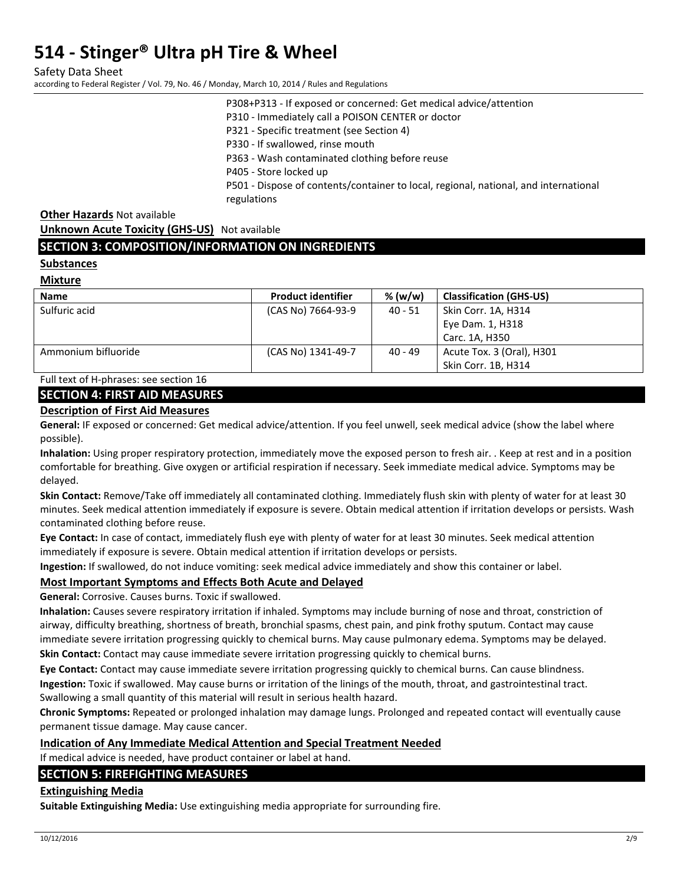Safety Data Sheet

according to Federal Register / Vol. 79, No. 46 / Monday, March 10, 2014 / Rules and Regulations

P308+P313 - If exposed or concerned: Get medical advice/attention

P310 - Immediately call a POISON CENTER or doctor

P321 - Specific treatment (see Section 4)

P330 - If swallowed, rinse mouth

P363 - Wash contaminated clothing before reuse

P405 - Store locked up

P501 - Dispose of contents/container to local, regional, national, and international regulations

**Other Hazards** Not available

**Unknown Acute Toxicity (GHS-US)** Not available

#### **SECTION 3: COMPOSITION/INFORMATION ON INGREDIENTS**

#### **Substances**

**Mixture** 

| <b>Name</b>         | <b>Product identifier</b> | % (w/w)   | <b>Classification (GHS-US)</b> |
|---------------------|---------------------------|-----------|--------------------------------|
| Sulfuric acid       | (CAS No) 7664-93-9        | $40 - 51$ | Skin Corr. 1A, H314            |
|                     |                           |           | Eye Dam. 1, H318               |
|                     |                           |           | Carc. 1A. H350                 |
| Ammonium bifluoride | (CAS No) 1341-49-7        | $40 - 49$ | Acute Tox. 3 (Oral), H301      |
|                     |                           |           | Skin Corr. 1B, H314            |

Full text of H-phrases: see section 16

#### **SECTION 4: FIRST AID MEASURES**

#### **Description of First Aid Measures**

**General:** IF exposed or concerned: Get medical advice/attention. If you feel unwell, seek medical advice (show the label where possible).

**Inhalation:** Using proper respiratory protection, immediately move the exposed person to fresh air. . Keep at rest and in a position comfortable for breathing. Give oxygen or artificial respiration if necessary. Seek immediate medical advice. Symptoms may be delayed.

**Skin Contact:** Remove/Take off immediately all contaminated clothing. Immediately flush skin with plenty of water for at least 30 minutes. Seek medical attention immediately if exposure is severe. Obtain medical attention if irritation develops or persists. Wash contaminated clothing before reuse.

**Eye Contact:** In case of contact, immediately flush eye with plenty of water for at least 30 minutes. Seek medical attention immediately if exposure is severe. Obtain medical attention if irritation develops or persists.

**Ingestion:** If swallowed, do not induce vomiting: seek medical advice immediately and show this container or label.

#### **Most Important Symptoms and Effects Both Acute and Delayed**

**General:** Corrosive. Causes burns. Toxic if swallowed.

**Inhalation:** Causes severe respiratory irritation if inhaled. Symptoms may include burning of nose and throat, constriction of airway, difficulty breathing, shortness of breath, bronchial spasms, chest pain, and pink frothy sputum. Contact may cause immediate severe irritation progressing quickly to chemical burns. May cause pulmonary edema. Symptoms may be delayed.

**Skin Contact:** Contact may cause immediate severe irritation progressing quickly to chemical burns.

**Eye Contact:** Contact may cause immediate severe irritation progressing quickly to chemical burns. Can cause blindness. **Ingestion:** Toxic if swallowed. May cause burns or irritation of the linings of the mouth, throat, and gastrointestinal tract. Swallowing a small quantity of this material will result in serious health hazard.

**Chronic Symptoms:** Repeated or prolonged inhalation may damage lungs. Prolonged and repeated contact will eventually cause permanent tissue damage. May cause cancer.

#### **Indication of Any Immediate Medical Attention and Special Treatment Needed**

If medical advice is needed, have product container or label at hand.

#### **SECTION 5: FIREFIGHTING MEASURES**

#### **Extinguishing Media**

**Suitable Extinguishing Media:** Use extinguishing media appropriate for surrounding fire.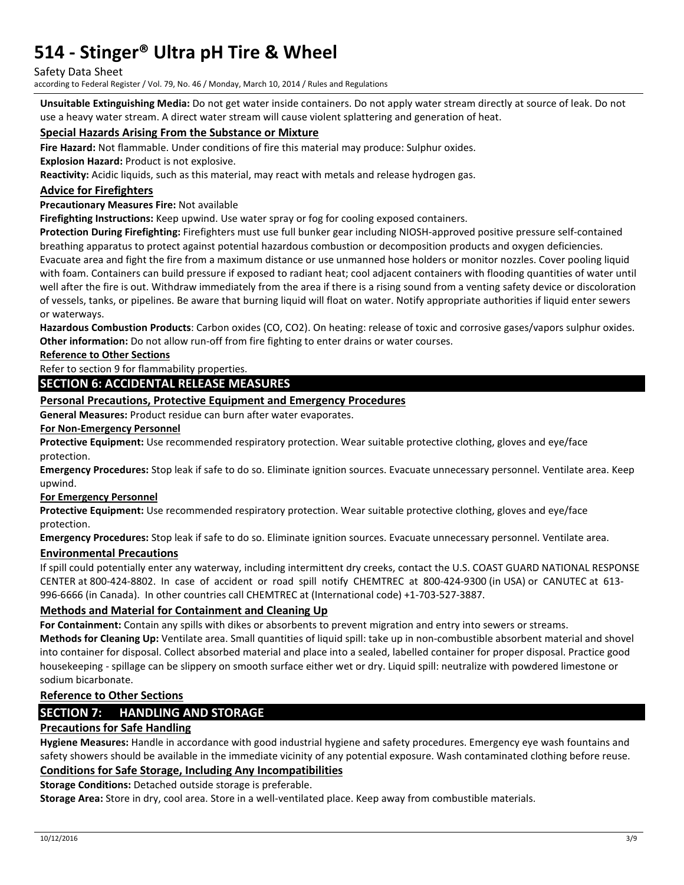#### Safety Data Sheet

according to Federal Register / Vol. 79, No. 46 / Monday, March 10, 2014 / Rules and Regulations

**Unsuitable Extinguishing Media:** Do not get water inside containers. Do not apply water stream directly at source of leak. Do not use a heavy water stream. A direct water stream will cause violent splattering and generation of heat.

#### **Special Hazards Arising From the Substance or Mixture**

**Fire Hazard:** Not flammable. Under conditions of fire this material may produce: Sulphur oxides.

**Explosion Hazard:** Product is not explosive.

**Reactivity:** Acidic liquids, such as this material, may react with metals and release hydrogen gas.

#### **Advice for Firefighters**

#### **Precautionary Measures Fire:** Not available

**Firefighting Instructions:** Keep upwind. Use water spray or fog for cooling exposed containers.

**Protection During Firefighting:** Firefighters must use full bunker gear including NIOSH-approved positive pressure self-contained breathing apparatus to protect against potential hazardous combustion or decomposition products and oxygen deficiencies.

Evacuate area and fight the fire from a maximum distance or use unmanned hose holders or monitor nozzles. Cover pooling liquid with foam. Containers can build pressure if exposed to radiant heat; cool adjacent containers with flooding quantities of water until well after the fire is out. Withdraw immediately from the area if there is a rising sound from a venting safety device or discoloration of vessels, tanks, or pipelines. Be aware that burning liquid will float on water. Notify appropriate authorities if liquid enter sewers or waterways.

**Hazardous Combustion Products**: Carbon oxides (CO, CO2). On heating: release of toxic and corrosive gases/vapors sulphur oxides. **Other information:** Do not allow run-off from fire fighting to enter drains or water courses.

**Reference to Other Sections** 

Refer to section 9 for flammability properties.

#### **SECTION 6: ACCIDENTAL RELEASE MEASURES**

#### **Personal Precautions, Protective Equipment and Emergency Procedures**

**General Measures:** Product residue can burn after water evaporates.

#### **For Non-Emergency Personnel**

**Protective Equipment:** Use recommended respiratory protection. Wear suitable protective clothing, gloves and eye/face protection.

**Emergency Procedures:** Stop leak if safe to do so. Eliminate ignition sources. Evacuate unnecessary personnel. Ventilate area. Keep upwind.

#### **For Emergency Personnel**

**Protective Equipment:** Use recommended respiratory protection. Wear suitable protective clothing, gloves and eye/face protection.

**Emergency Procedures:** Stop leak if safe to do so. Eliminate ignition sources. Evacuate unnecessary personnel. Ventilate area.

#### **Environmental Precautions**

If spill could potentially enter any waterway, including intermittent dry creeks, contact the U.S. COAST GUARD NATIONAL RESPONSE CENTER at 800-424-8802. In case of accident or road spill notify CHEMTREC at 800-424-9300 (in USA) or CANUTEC at 613- 996-6666 (in Canada). In other countries call CHEMTREC at (International code) +1-703-527-3887.

#### **Methods and Material for Containment and Cleaning Up**

**For Containment:** Contain any spills with dikes or absorbents to prevent migration and entry into sewers or streams. **Methods for Cleaning Up:** Ventilate area. Small quantities of liquid spill: take up in non-combustible absorbent material and shovel into container for disposal. Collect absorbed material and place into a sealed, labelled container for proper disposal. Practice good housekeeping - spillage can be slippery on smooth surface either wet or dry. Liquid spill: neutralize with powdered limestone or sodium bicarbonate.

#### **Reference to Other Sections**

### **SECTION 7: HANDLING AND STORAGE**

#### **Precautions for Safe Handling**

**Hygiene Measures:** Handle in accordance with good industrial hygiene and safety procedures. Emergency eye wash fountains and safety showers should be available in the immediate vicinity of any potential exposure. Wash contaminated clothing before reuse.

## **Conditions for Safe Storage, Including Any Incompatibilities**

**Storage Conditions:** Detached outside storage is preferable.

**Storage Area:** Store in dry, cool area. Store in a well-ventilated place. Keep away from combustible materials.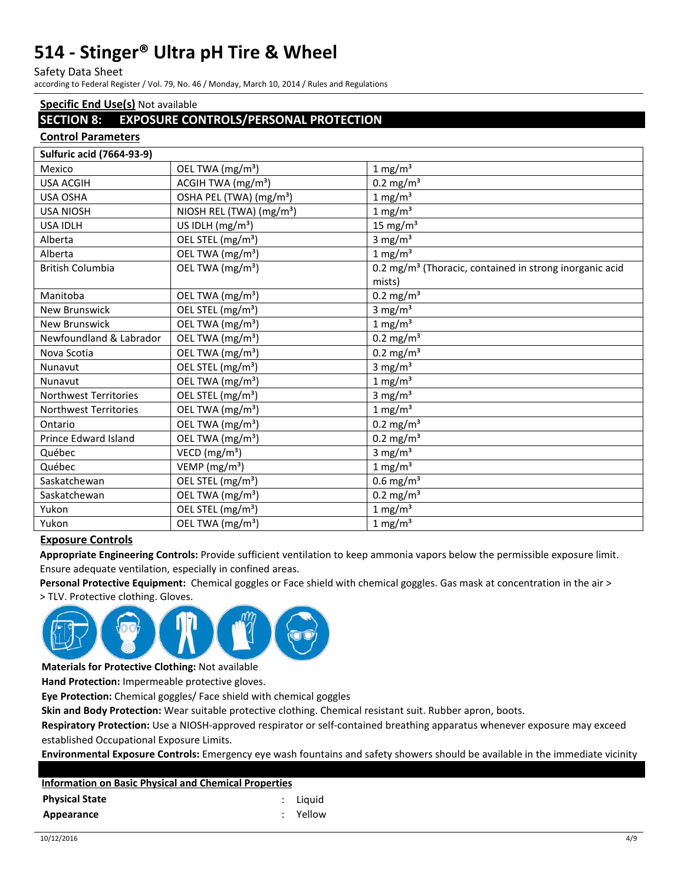Safety Data Sheet

according to Federal Register / Vol. 79, No. 46 / Monday, March 10, 2014 / Rules and Regulations

### **Specific End Use(s)** Not available

### **SECTION 8: EXPOSURE CONTROLS/PERSONAL PROTECTION**

#### **Control Parameters**

| <b>Sulfuric acid (7664-93-9)</b> |                                      |                                                                     |
|----------------------------------|--------------------------------------|---------------------------------------------------------------------|
| Mexico                           | OEL TWA (mg/m <sup>3</sup> )         | $1 \text{ mg/m}^3$                                                  |
| <b>USA ACGIH</b>                 | ACGIH TWA (mg/m <sup>3</sup> )       | $0.2 \text{ mg/m}^3$                                                |
| <b>USA OSHA</b>                  | OSHA PEL (TWA) (mg/m <sup>3</sup> )  | 1 mg/m <sup>3</sup>                                                 |
| <b>USA NIOSH</b>                 | NIOSH REL (TWA) (mg/m <sup>3</sup> ) | $1 \text{ mg/m}^3$                                                  |
| <b>USA IDLH</b>                  | US IDLH $(mg/m3)$                    | 15 mg/ $m3$                                                         |
| Alberta                          | OEL STEL (mg/m <sup>3</sup> )        | 3 mg/ $m3$                                                          |
| Alberta                          | OEL TWA (mg/m <sup>3</sup> )         | $1 \text{ mg/m}^3$                                                  |
| <b>British Columbia</b>          | OEL TWA (mg/m <sup>3</sup> )         | 0.2 mg/m <sup>3</sup> (Thoracic, contained in strong inorganic acid |
|                                  |                                      | mists)                                                              |
| Manitoba                         | OEL TWA (mg/m <sup>3</sup> )         | $0.2 \text{ mg/m}^3$                                                |
| <b>New Brunswick</b>             | OEL STEL (mg/m <sup>3</sup> )        | 3 mg/ $m3$                                                          |
| <b>New Brunswick</b>             | OEL TWA (mg/m <sup>3</sup> )         | $1 \text{ mg/m}^3$                                                  |
| Newfoundland & Labrador          | OEL TWA (mg/m <sup>3</sup> )         | $0.2 \text{ mg/m}^3$                                                |
| Nova Scotia                      | OEL TWA (mg/m <sup>3</sup> )         | $0.2$ mg/m <sup>3</sup>                                             |
| Nunavut                          | OEL STEL (mg/m <sup>3</sup> )        | 3 mg/ $m3$                                                          |
| Nunavut                          | OEL TWA (mg/m <sup>3</sup> )         | $1 \text{ mg/m}^3$                                                  |
| <b>Northwest Territories</b>     | OEL STEL (mg/m <sup>3</sup> )        | 3 mg/ $m3$                                                          |
| <b>Northwest Territories</b>     | OEL TWA (mg/m <sup>3</sup> )         | $1 \text{ mg/m}^3$                                                  |
| Ontario                          | OEL TWA (mg/m <sup>3</sup> )         | $0.2 \text{ mg/m}^3$                                                |
| Prince Edward Island             | OEL TWA (mg/m <sup>3</sup> )         | $0.2 \text{ mg/m}^3$                                                |
| Québec                           | VECD ( $mg/m3$ )                     | 3 mg/ $m3$                                                          |
| Québec                           | VEMP ( $mg/m3$ )                     | $1 \text{ mg/m}^3$                                                  |
| Saskatchewan                     | OEL STEL (mg/m <sup>3</sup> )        | $0.6$ mg/m <sup>3</sup>                                             |
| Saskatchewan                     | OEL TWA (mg/m <sup>3</sup> )         | $0.2 \text{ mg/m}^3$                                                |
| Yukon                            | OEL STEL (mg/m <sup>3</sup> )        | 1 mg/ $m3$                                                          |
| Yukon                            | OEL TWA (mg/m <sup>3</sup> )         | $1 \text{ mg/m}^3$                                                  |

#### **Exposure Controls**

**Appropriate Engineering Controls:** Provide sufficient ventilation to keep ammonia vapors below the permissible exposure limit. Ensure adequate ventilation, especially in confined areas.

**Personal Protective Equipment:** Chemical goggles or Face shield with chemical goggles. Gas mask at concentration in the air >

> TLV. Protective clothing. Gloves.



**Materials for Protective Clothing:** Not available

**Hand Protection:** Impermeable protective gloves.

**Eye Protection:** Chemical goggles/ Face shield with chemical goggles

**Skin and Body Protection:** Wear suitable protective clothing. Chemical resistant suit. Rubber apron, boots.

**Respiratory Protection:** Use a NIOSH-approved respirator or self-contained breathing apparatus whenever exposure may exceed established Occupational Exposure Limits.

**Environmental Exposure Controls:** Emergency eye wash fountains and safety showers should be available in the immediate vicinity

| <b>Information on Basic Physical and Chemical Properties</b> |          |
|--------------------------------------------------------------|----------|
| <b>Physical State</b>                                        | : Liauid |
| Appearance                                                   | : Yellow |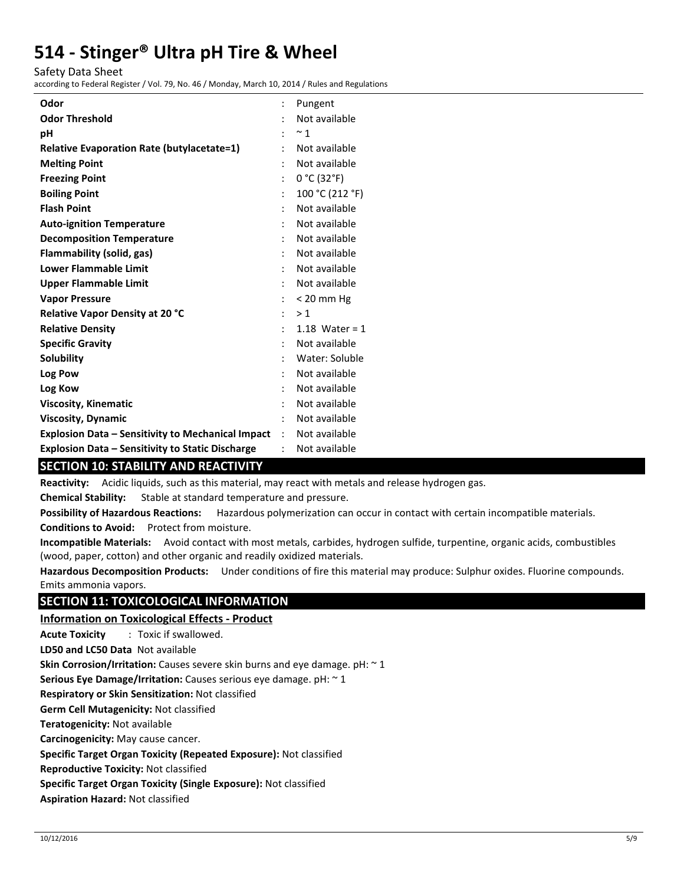Safety Data Sheet

according to Federal Register / Vol. 79, No. 46 / Monday, March 10, 2014 / Rules and Regulations

| Odor                                                     |                      | Pungent          |
|----------------------------------------------------------|----------------------|------------------|
| <b>Odor Threshold</b>                                    |                      | Not available    |
| рH                                                       |                      | $~\sim$ 1        |
| <b>Relative Evaporation Rate (butylacetate=1)</b>        |                      | Not available    |
| <b>Melting Point</b>                                     |                      | Not available    |
| <b>Freezing Point</b>                                    | $\ddot{\cdot}$       | 0 °C (32 °F)     |
| <b>Boiling Point</b>                                     | $\ddot{\cdot}$       | 100 °C (212 °F)  |
| <b>Flash Point</b>                                       | $\ddot{\cdot}$       | Not available    |
| <b>Auto-ignition Temperature</b>                         |                      | Not available    |
| <b>Decomposition Temperature</b>                         |                      | Not available    |
| Flammability (solid, gas)                                |                      | Not available    |
| <b>Lower Flammable Limit</b>                             |                      | Not available    |
| <b>Upper Flammable Limit</b>                             |                      | Not available    |
| <b>Vapor Pressure</b>                                    |                      | $< 20$ mm Hg     |
| <b>Relative Vapor Density at 20 °C</b>                   | $\ddot{\phantom{a}}$ | >1               |
| <b>Relative Density</b>                                  |                      | 1.18 Water = $1$ |
| <b>Specific Gravity</b>                                  |                      | Not available    |
| <b>Solubility</b>                                        |                      | Water: Soluble   |
| Log Pow                                                  |                      | Not available    |
| Log Kow                                                  |                      | Not available    |
| <b>Viscosity, Kinematic</b>                              |                      | Not available    |
| <b>Viscosity, Dynamic</b>                                | ÷                    | Not available    |
| <b>Explosion Data - Sensitivity to Mechanical Impact</b> | $\mathcal{L}$        | Not available    |
| <b>Explosion Data - Sensitivity to Static Discharge</b>  |                      | Not available    |

## **SECTION 10: STABILITY AND REACTIVITY**

**Reactivity:** Acidic liquids, such as this material, may react with metals and release hydrogen gas.

**Chemical Stability:** Stable at standard temperature and pressure.

**Possibility of Hazardous Reactions:** Hazardous polymerization can occur in contact with certain incompatible materials.

**Conditions to Avoid:** Protect from moisture.

**Incompatible Materials:** Avoid contact with most metals, carbides, hydrogen sulfide, turpentine, organic acids, combustibles (wood, paper, cotton) and other organic and readily oxidized materials.

**Hazardous Decomposition Products:** Under conditions of fire this material may produce: Sulphur oxides. Fluorine compounds. Emits ammonia vapors.

## **SECTION 11: TOXICOLOGICAL INFORMATION**

### **Information on Toxicological Effects - Product**

**Acute Toxicity** : Toxic if swallowed.

**LD50 and LC50 Data** Not available

**Skin Corrosion/Irritation:** Causes severe skin burns and eye damage. pH: ~ 1

**Serious Eye Damage/Irritation:** Causes serious eye damage. pH: ~ 1

**Respiratory or Skin Sensitization:** Not classified

**Germ Cell Mutagenicity:** Not classified

**Teratogenicity:** Not available

**Carcinogenicity:** May cause cancer.

**Specific Target Organ Toxicity (Repeated Exposure):** Not classified

**Reproductive Toxicity:** Not classified

**Specific Target Organ Toxicity (Single Exposure):** Not classified

**Aspiration Hazard:** Not classified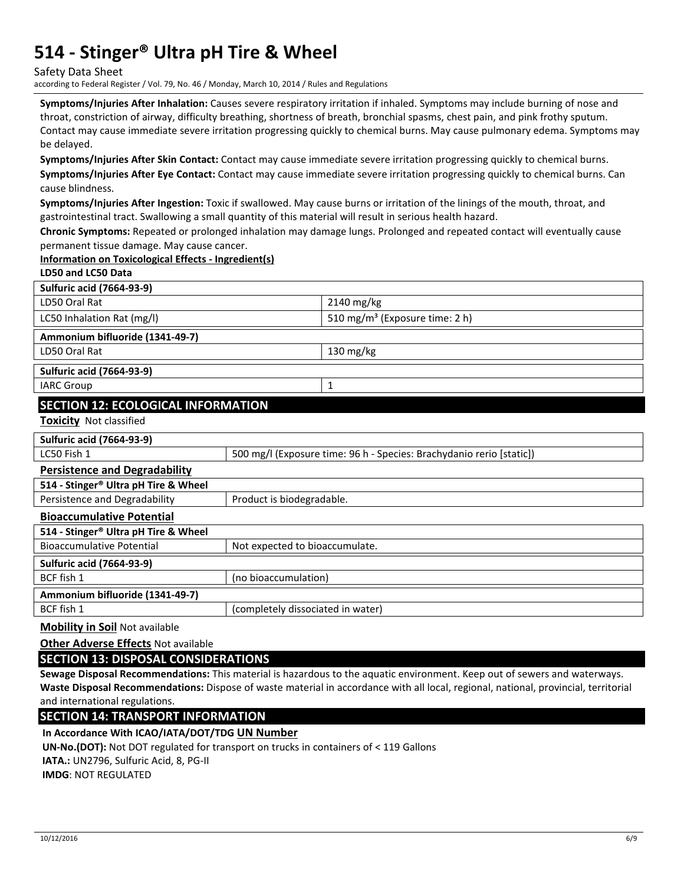Safety Data Sheet

according to Federal Register / Vol. 79, No. 46 / Monday, March 10, 2014 / Rules and Regulations

**Symptoms/Injuries After Inhalation:** Causes severe respiratory irritation if inhaled. Symptoms may include burning of nose and throat, constriction of airway, difficulty breathing, shortness of breath, bronchial spasms, chest pain, and pink frothy sputum. Contact may cause immediate severe irritation progressing quickly to chemical burns. May cause pulmonary edema. Symptoms may be delayed.

**Symptoms/Injuries After Skin Contact:** Contact may cause immediate severe irritation progressing quickly to chemical burns. **Symptoms/Injuries After Eye Contact:** Contact may cause immediate severe irritation progressing quickly to chemical burns. Can cause blindness.

**Symptoms/Injuries After Ingestion:** Toxic if swallowed. May cause burns or irritation of the linings of the mouth, throat, and gastrointestinal tract. Swallowing a small quantity of this material will result in serious health hazard.

**Chronic Symptoms:** Repeated or prolonged inhalation may damage lungs. Prolonged and repeated contact will eventually cause permanent tissue damage. May cause cancer.

#### **Information on Toxicological Effects - Ingredient(s)**

| LD50 and LC50 Data                               |                                   |                                                                      |  |  |
|--------------------------------------------------|-----------------------------------|----------------------------------------------------------------------|--|--|
| <b>Sulfuric acid (7664-93-9)</b>                 |                                   |                                                                      |  |  |
| LD50 Oral Rat                                    |                                   | 2140 mg/kg                                                           |  |  |
| LC50 Inhalation Rat (mg/l)                       |                                   | 510 mg/m <sup>3</sup> (Exposure time: 2 h)                           |  |  |
| Ammonium bifluoride (1341-49-7)                  |                                   |                                                                      |  |  |
| LD50 Oral Rat                                    |                                   | 130 mg/kg                                                            |  |  |
| <b>Sulfuric acid (7664-93-9)</b>                 |                                   |                                                                      |  |  |
| <b>IARC Group</b>                                |                                   | 1                                                                    |  |  |
| <b>SECTION 12: ECOLOGICAL INFORMATION</b>        |                                   |                                                                      |  |  |
| Toxicity Not classified                          |                                   |                                                                      |  |  |
| <b>Sulfuric acid (7664-93-9)</b>                 |                                   |                                                                      |  |  |
| LC50 Fish 1                                      |                                   | 500 mg/l (Exposure time: 96 h - Species: Brachydanio rerio [static]) |  |  |
| <b>Persistence and Degradability</b>             |                                   |                                                                      |  |  |
| 514 - Stinger® Ultra pH Tire & Wheel             |                                   |                                                                      |  |  |
| Persistence and Degradability                    | Product is biodegradable.         |                                                                      |  |  |
| <b>Bioaccumulative Potential</b>                 |                                   |                                                                      |  |  |
| 514 - Stinger <sup>®</sup> Ultra pH Tire & Wheel |                                   |                                                                      |  |  |
| <b>Bioaccumulative Potential</b>                 | Not expected to bioaccumulate.    |                                                                      |  |  |
| <b>Sulfuric acid (7664-93-9)</b>                 |                                   |                                                                      |  |  |
| BCF fish 1                                       | (no bioaccumulation)              |                                                                      |  |  |
| Ammonium bifluoride (1341-49-7)                  |                                   |                                                                      |  |  |
| BCF fish 1                                       | (completely dissociated in water) |                                                                      |  |  |
| <b>Mobility in Soil Not available</b>            |                                   |                                                                      |  |  |

**Other Adverse Effects** Not available

**SECTION 13: DISPOSAL CONSIDERATIONS** 

**Sewage Disposal Recommendations:** This material is hazardous to the aquatic environment. Keep out of sewers and waterways. **Waste Disposal Recommendations:** Dispose of waste material in accordance with all local, regional, national, provincial, territorial and international regulations.

**SECTION 14: TRANSPORT INFORMATION** 

**In Accordance With ICAO/IATA/DOT/TDG UN Number**

**UN-No.(DOT):** Not DOT regulated for transport on trucks in containers of < 119 Gallons

**IATA.:** UN2796, Sulfuric Acid, 8, PG-II

**IMDG**: NOT REGULATED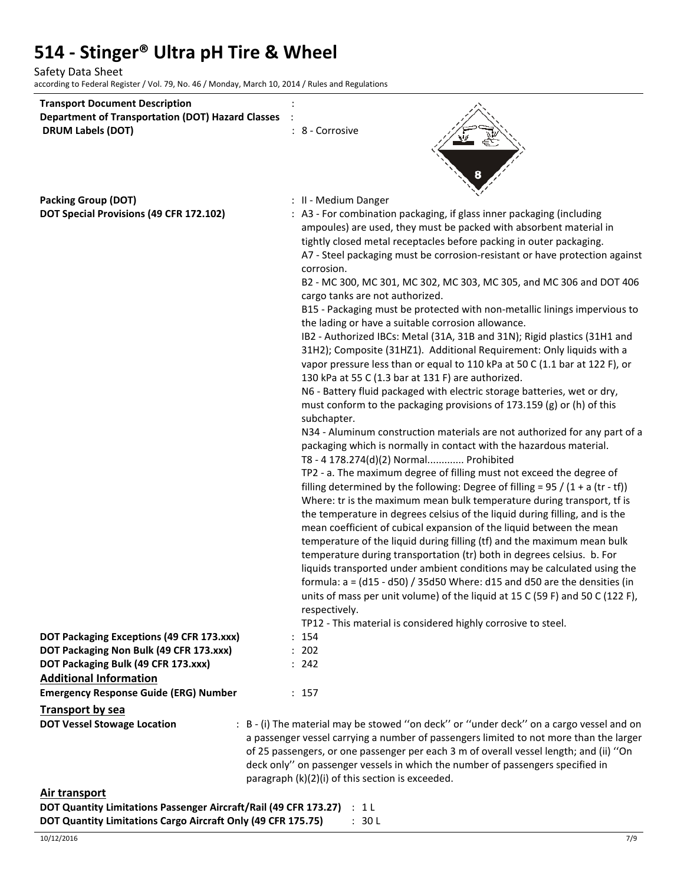Safety Data Sheet

according to Federal Register / Vol. 79, No. 46 / Monday, March 10, 2014 / Rules and Regulations

| <b>Transport Document Description</b><br><b>Department of Transportation (DOT) Hazard Classes</b><br><b>DRUM Labels (DOT)</b>                                                                                                                                                                                                                                                                                | : 8 - Corrosive                                                                                                                                                                                                                                                                                                                                                                                                                                                                                                                                                                                                                                                                                                                                                                             |
|--------------------------------------------------------------------------------------------------------------------------------------------------------------------------------------------------------------------------------------------------------------------------------------------------------------------------------------------------------------------------------------------------------------|---------------------------------------------------------------------------------------------------------------------------------------------------------------------------------------------------------------------------------------------------------------------------------------------------------------------------------------------------------------------------------------------------------------------------------------------------------------------------------------------------------------------------------------------------------------------------------------------------------------------------------------------------------------------------------------------------------------------------------------------------------------------------------------------|
|                                                                                                                                                                                                                                                                                                                                                                                                              |                                                                                                                                                                                                                                                                                                                                                                                                                                                                                                                                                                                                                                                                                                                                                                                             |
| <b>Packing Group (DOT)</b>                                                                                                                                                                                                                                                                                                                                                                                   | : II - Medium Danger                                                                                                                                                                                                                                                                                                                                                                                                                                                                                                                                                                                                                                                                                                                                                                        |
| DOT Special Provisions (49 CFR 172.102)                                                                                                                                                                                                                                                                                                                                                                      | : A3 - For combination packaging, if glass inner packaging (including<br>ampoules) are used, they must be packed with absorbent material in<br>tightly closed metal receptacles before packing in outer packaging.<br>A7 - Steel packaging must be corrosion-resistant or have protection against<br>corrosion.<br>B2 - MC 300, MC 301, MC 302, MC 303, MC 305, and MC 306 and DOT 406                                                                                                                                                                                                                                                                                                                                                                                                      |
|                                                                                                                                                                                                                                                                                                                                                                                                              | cargo tanks are not authorized.<br>B15 - Packaging must be protected with non-metallic linings impervious to<br>the lading or have a suitable corrosion allowance.                                                                                                                                                                                                                                                                                                                                                                                                                                                                                                                                                                                                                          |
|                                                                                                                                                                                                                                                                                                                                                                                                              | IB2 - Authorized IBCs: Metal (31A, 31B and 31N); Rigid plastics (31H1 and<br>31H2); Composite (31HZ1). Additional Requirement: Only liquids with a<br>vapor pressure less than or equal to 110 kPa at 50 C (1.1 bar at 122 F), or<br>130 kPa at 55 C (1.3 bar at 131 F) are authorized.                                                                                                                                                                                                                                                                                                                                                                                                                                                                                                     |
|                                                                                                                                                                                                                                                                                                                                                                                                              | N6 - Battery fluid packaged with electric storage batteries, wet or dry,<br>must conform to the packaging provisions of 173.159 (g) or (h) of this<br>subchapter.                                                                                                                                                                                                                                                                                                                                                                                                                                                                                                                                                                                                                           |
|                                                                                                                                                                                                                                                                                                                                                                                                              | N34 - Aluminum construction materials are not authorized for any part of a<br>packaging which is normally in contact with the hazardous material.<br>T8 - 4 178.274(d)(2) Normal Prohibited                                                                                                                                                                                                                                                                                                                                                                                                                                                                                                                                                                                                 |
|                                                                                                                                                                                                                                                                                                                                                                                                              | TP2 - a. The maximum degree of filling must not exceed the degree of<br>filling determined by the following: Degree of filling = $95 / (1 + a (tr - tf))$<br>Where: tr is the maximum mean bulk temperature during transport, tf is<br>the temperature in degrees celsius of the liquid during filling, and is the<br>mean coefficient of cubical expansion of the liquid between the mean<br>temperature of the liquid during filling (tf) and the maximum mean bulk<br>temperature during transportation (tr) both in degrees celsius. b. For<br>liquids transported under ambient conditions may be calculated using the<br>formula: $a = (d15 - d50) / 35d50$ Where: d15 and d50 are the densities (in<br>units of mass per unit volume) of the liquid at 15 C (59 F) and 50 C (122 F), |
|                                                                                                                                                                                                                                                                                                                                                                                                              | respectively.                                                                                                                                                                                                                                                                                                                                                                                                                                                                                                                                                                                                                                                                                                                                                                               |
|                                                                                                                                                                                                                                                                                                                                                                                                              | TP12 - This material is considered highly corrosive to steel.                                                                                                                                                                                                                                                                                                                                                                                                                                                                                                                                                                                                                                                                                                                               |
| DOT Packaging Exceptions (49 CFR 173.xxx)                                                                                                                                                                                                                                                                                                                                                                    | : 154                                                                                                                                                                                                                                                                                                                                                                                                                                                                                                                                                                                                                                                                                                                                                                                       |
| DOT Packaging Non Bulk (49 CFR 173.xxx)                                                                                                                                                                                                                                                                                                                                                                      | : 202                                                                                                                                                                                                                                                                                                                                                                                                                                                                                                                                                                                                                                                                                                                                                                                       |
| DOT Packaging Bulk (49 CFR 173.xxx)                                                                                                                                                                                                                                                                                                                                                                          | : 242                                                                                                                                                                                                                                                                                                                                                                                                                                                                                                                                                                                                                                                                                                                                                                                       |
| <b>Additional Information</b>                                                                                                                                                                                                                                                                                                                                                                                |                                                                                                                                                                                                                                                                                                                                                                                                                                                                                                                                                                                                                                                                                                                                                                                             |
| <b>Emergency Response Guide (ERG) Number</b>                                                                                                                                                                                                                                                                                                                                                                 | : 157                                                                                                                                                                                                                                                                                                                                                                                                                                                                                                                                                                                                                                                                                                                                                                                       |
| <b>Transport by sea</b>                                                                                                                                                                                                                                                                                                                                                                                      |                                                                                                                                                                                                                                                                                                                                                                                                                                                                                                                                                                                                                                                                                                                                                                                             |
| <b>DOT Vessel Stowage Location</b>                                                                                                                                                                                                                                                                                                                                                                           | : B - (i) The material may be stowed "on deck" or "under deck" on a cargo vessel and on<br>a passenger vessel carrying a number of passengers limited to not more than the larger<br>of 25 passengers, or one passenger per each 3 m of overall vessel length; and (ii) "On<br>deck only" on passenger vessels in which the number of passengers specified in<br>paragraph (k)(2)(i) of this section is exceeded.                                                                                                                                                                                                                                                                                                                                                                           |
| <b>Air transport</b><br>$\overline{D}$ $\overline{D}$ $\overline{D}$ $\overline{D}$ $\overline{D}$ $\overline{D}$ $\overline{D}$ $\overline{D}$ $\overline{D}$ $\overline{D}$ $\overline{D}$ $\overline{D}$ $\overline{D}$ $\overline{D}$ $\overline{D}$ $\overline{D}$ $\overline{D}$ $\overline{D}$ $\overline{D}$ $\overline{D}$ $\overline{D}$ $\overline{D}$ $\overline{D}$ $\overline{D}$ $\overline{$ |                                                                                                                                                                                                                                                                                                                                                                                                                                                                                                                                                                                                                                                                                                                                                                                             |

| <b>DOT Quantity Limitations Passenger Aircraft/Rail (49 CFR 173.27)</b> : 1 L |        |
|-------------------------------------------------------------------------------|--------|
| DOT Quantity Limitations Cargo Aircraft Only (49 CFR 175.75)                  | : 30 L |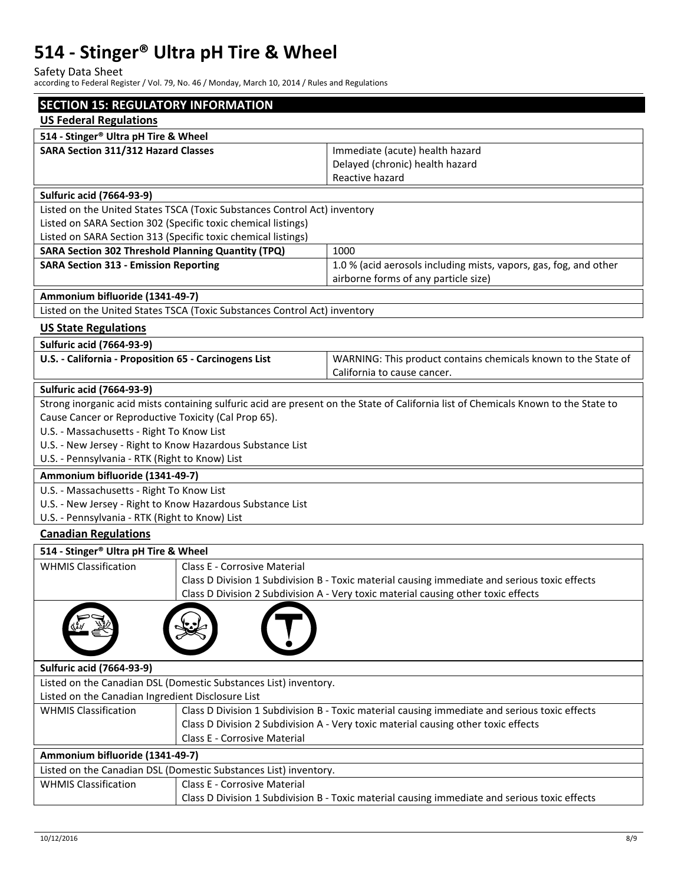Safety Data Sheet

according to Federal Register / Vol. 79, No. 46 / Monday, March 10, 2014 / Rules and Regulations

| <b>SECTION 15: REGULATORY INFORMATION</b>                     |                                                                           |                                                                                                                                     |  |  |
|---------------------------------------------------------------|---------------------------------------------------------------------------|-------------------------------------------------------------------------------------------------------------------------------------|--|--|
| <b>US Federal Regulations</b>                                 |                                                                           |                                                                                                                                     |  |  |
| 514 - Stinger® Ultra pH Tire & Wheel                          |                                                                           |                                                                                                                                     |  |  |
| SARA Section 311/312 Hazard Classes                           |                                                                           | Immediate (acute) health hazard                                                                                                     |  |  |
|                                                               |                                                                           | Delayed (chronic) health hazard                                                                                                     |  |  |
|                                                               |                                                                           | Reactive hazard                                                                                                                     |  |  |
| <b>Sulfuric acid (7664-93-9)</b>                              |                                                                           |                                                                                                                                     |  |  |
|                                                               | Listed on the United States TSCA (Toxic Substances Control Act) inventory |                                                                                                                                     |  |  |
| Listed on SARA Section 302 (Specific toxic chemical listings) |                                                                           |                                                                                                                                     |  |  |
| Listed on SARA Section 313 (Specific toxic chemical listings) |                                                                           |                                                                                                                                     |  |  |
| <b>SARA Section 302 Threshold Planning Quantity (TPQ)</b>     |                                                                           | 1000                                                                                                                                |  |  |
| <b>SARA Section 313 - Emission Reporting</b>                  |                                                                           | 1.0 % (acid aerosols including mists, vapors, gas, fog, and other<br>airborne forms of any particle size)                           |  |  |
| Ammonium bifluoride (1341-49-7)                               |                                                                           |                                                                                                                                     |  |  |
|                                                               | Listed on the United States TSCA (Toxic Substances Control Act) inventory |                                                                                                                                     |  |  |
|                                                               |                                                                           |                                                                                                                                     |  |  |
| <b>US State Regulations</b>                                   |                                                                           |                                                                                                                                     |  |  |
| <b>Sulfuric acid (7664-93-9)</b>                              |                                                                           |                                                                                                                                     |  |  |
| U.S. - California - Proposition 65 - Carcinogens List         |                                                                           | WARNING: This product contains chemicals known to the State of<br>California to cause cancer.                                       |  |  |
| <b>Sulfuric acid (7664-93-9)</b>                              |                                                                           |                                                                                                                                     |  |  |
|                                                               |                                                                           | Strong inorganic acid mists containing sulfuric acid are present on the State of California list of Chemicals Known to the State to |  |  |
| Cause Cancer or Reproductive Toxicity (Cal Prop 65).          |                                                                           |                                                                                                                                     |  |  |
| U.S. - Massachusetts - Right To Know List                     |                                                                           |                                                                                                                                     |  |  |
| U.S. - New Jersey - Right to Know Hazardous Substance List    |                                                                           |                                                                                                                                     |  |  |
| U.S. - Pennsylvania - RTK (Right to Know) List                |                                                                           |                                                                                                                                     |  |  |
| Ammonium bifluoride (1341-49-7)                               |                                                                           |                                                                                                                                     |  |  |
| U.S. - Massachusetts - Right To Know List                     |                                                                           |                                                                                                                                     |  |  |
| U.S. - New Jersey - Right to Know Hazardous Substance List    |                                                                           |                                                                                                                                     |  |  |
| U.S. - Pennsylvania - RTK (Right to Know) List                |                                                                           |                                                                                                                                     |  |  |
| <b>Canadian Regulations</b>                                   |                                                                           |                                                                                                                                     |  |  |
| 514 - Stinger <sup>®</sup> Ultra pH Tire & Wheel              |                                                                           |                                                                                                                                     |  |  |
| <b>WHMIS Classification</b>                                   | <b>Class E - Corrosive Material</b>                                       |                                                                                                                                     |  |  |
|                                                               |                                                                           | Class D Division 1 Subdivision B - Toxic material causing immediate and serious toxic effects                                       |  |  |
|                                                               |                                                                           | Class D Division 2 Subdivision A - Very toxic material causing other toxic effects                                                  |  |  |
|                                                               |                                                                           |                                                                                                                                     |  |  |
| <b>Sulfuric acid (7664-93-9)</b>                              |                                                                           |                                                                                                                                     |  |  |
|                                                               | Listed on the Canadian DSL (Domestic Substances List) inventory.          |                                                                                                                                     |  |  |
| Listed on the Canadian Ingredient Disclosure List             |                                                                           |                                                                                                                                     |  |  |
| <b>WHMIS Classification</b>                                   |                                                                           | Class D Division 1 Subdivision B - Toxic material causing immediate and serious toxic effects                                       |  |  |
|                                                               |                                                                           | Class D Division 2 Subdivision A - Very toxic material causing other toxic effects                                                  |  |  |
|                                                               | Class E - Corrosive Material                                              |                                                                                                                                     |  |  |
| Ammonium bifluoride (1341-49-7)                               |                                                                           |                                                                                                                                     |  |  |
|                                                               | Listed on the Canadian DSL (Domestic Substances List) inventory.          |                                                                                                                                     |  |  |
| <b>WHMIS Classification</b>                                   | <b>Class E - Corrosive Material</b>                                       |                                                                                                                                     |  |  |
|                                                               |                                                                           | Class D Division 1 Subdivision B - Toxic material causing immediate and serious toxic effects                                       |  |  |
|                                                               |                                                                           |                                                                                                                                     |  |  |